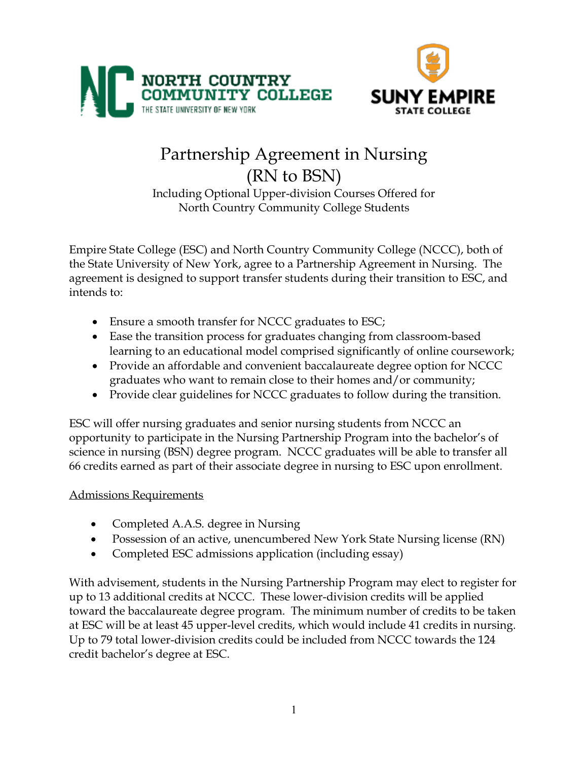



# Partnership Agreement in Nursing (RN to BSN) Including Optional Upper-division Courses Offered for

North Country Community College Students

Empire State College (ESC) and North Country Community College (NCCC), both of the State University of New York, agree to a Partnership Agreement in Nursing. The agreement is designed to support transfer students during their transition to ESC, and intends to:

- Ensure a smooth transfer for NCCC graduates to ESC;
- Ease the transition process for graduates changing from classroom-based learning to an educational model comprised significantly of online coursework;
- Provide an affordable and convenient baccalaureate degree option for NCCC graduates who want to remain close to their homes and/or community;
- Provide clear guidelines for NCCC graduates to follow during the transition.

ESC will offer nursing graduates and senior nursing students from NCCC an opportunity to participate in the Nursing Partnership Program into the bachelor's of science in nursing (BSN) degree program. NCCC graduates will be able to transfer all 66 credits earned as part of their associate degree in nursing to ESC upon enrollment.

## Admissions Requirements

- Completed A.A.S. degree in Nursing
- Possession of an active, unencumbered New York State Nursing license (RN)
- Completed ESC admissions application (including essay)

With advisement, students in the Nursing Partnership Program may elect to register for up to 13 additional credits at NCCC. These lower-division credits will be applied toward the baccalaureate degree program. The minimum number of credits to be taken at ESC will be at least 45 upper-level credits, which would include 41 credits in nursing. Up to 79 total lower-division credits could be included from NCCC towards the 124 credit bachelor's degree at ESC.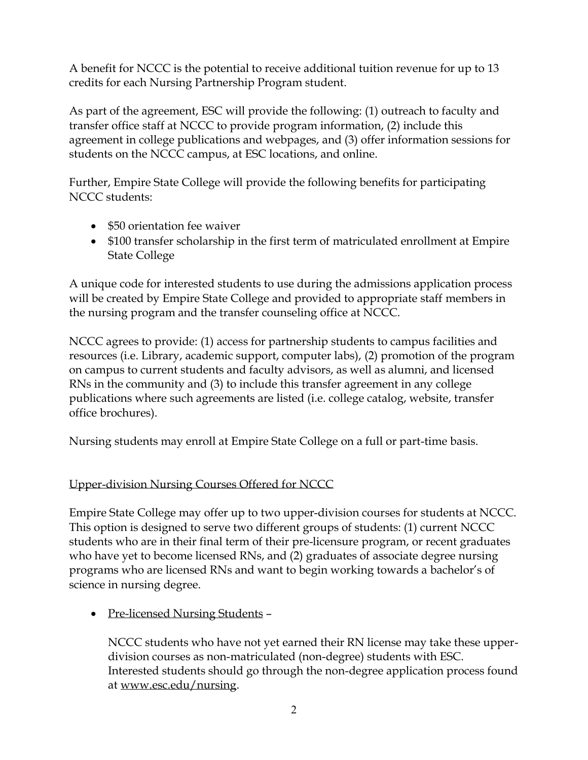A benefit for NCCC is the potential to receive additional tuition revenue for up to 13 credits for each Nursing Partnership Program student.

As part of the agreement, ESC will provide the following: (1) outreach to faculty and transfer office staff at NCCC to provide program information, (2) include this agreement in college publications and webpages, and (3) offer information sessions for students on the NCCC campus, at ESC locations, and online.

Further, Empire State College will provide the following benefits for participating NCCC students:

- \$50 orientation fee waiver
- \$100 transfer scholarship in the first term of matriculated enrollment at Empire State College

A unique code for interested students to use during the admissions application process will be created by Empire State College and provided to appropriate staff members in the nursing program and the transfer counseling office at NCCC.

NCCC agrees to provide: (1) access for partnership students to campus facilities and resources (i.e. Library, academic support, computer labs), (2) promotion of the program on campus to current students and faculty advisors, as well as alumni, and licensed RNs in the community and (3) to include this transfer agreement in any college publications where such agreements are listed (i.e. college catalog, website, transfer office brochures).

Nursing students may enroll at Empire State College on a full or part-time basis.

## Upper-division Nursing Courses Offered for NCCC

Empire State College may offer up to two upper-division courses for students at NCCC. This option is designed to serve two different groups of students: (1) current NCCC students who are in their final term of their pre-licensure program, or recent graduates who have yet to become licensed RNs, and (2) graduates of associate degree nursing programs who are licensed RNs and want to begin working towards a bachelor's of science in nursing degree.

• Pre-licensed Nursing Students –

NCCC students who have not yet earned their RN license may take these upperdivision courses as non-matriculated (non-degree) students with ESC. Interested students should go through the non-degree application process found at www.esc.edu/nursing.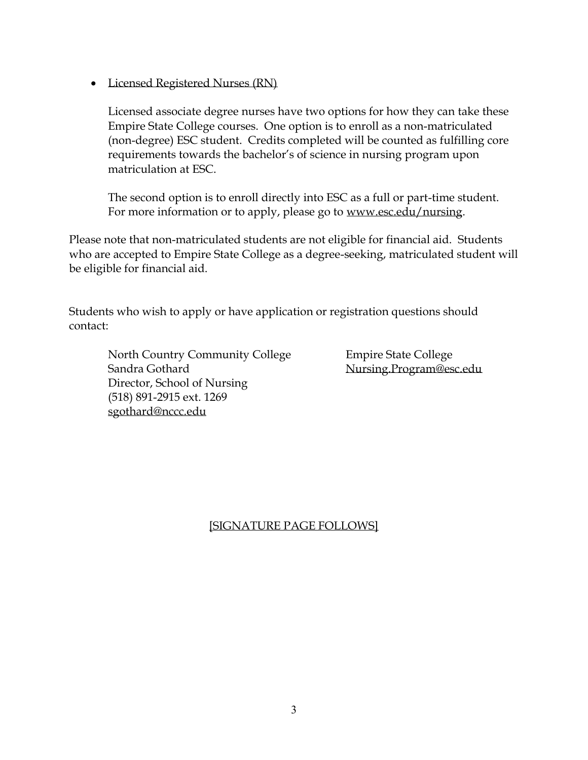• Licensed Registered Nurses (RN)

Licensed associate degree nurses have two options for how they can take these Empire State College courses. One option is to enroll as a non-matriculated (non-degree) ESC student. Credits completed will be counted as fulfilling core requirements towards the bachelor's of science in nursing program upon matriculation at ESC.

The second option is to enroll directly into ESC as a full or part-time student. For more information or to apply, please go to www.esc.edu/nursing.

Please note that non-matriculated students are not eligible for financial aid. Students who are accepted to Empire State College as a degree-seeking, matriculated student will be eligible for financial aid.

Students who wish to apply or have application or registration questions should contact:

North Country Community College Empire State College Sandra Gothard Nursing.Program@esc.edu Director, School of Nursing (518) 891-2915 ext. 1269 sgothard@nccc.edu

[SIGNATURE PAGE FOLLOWS]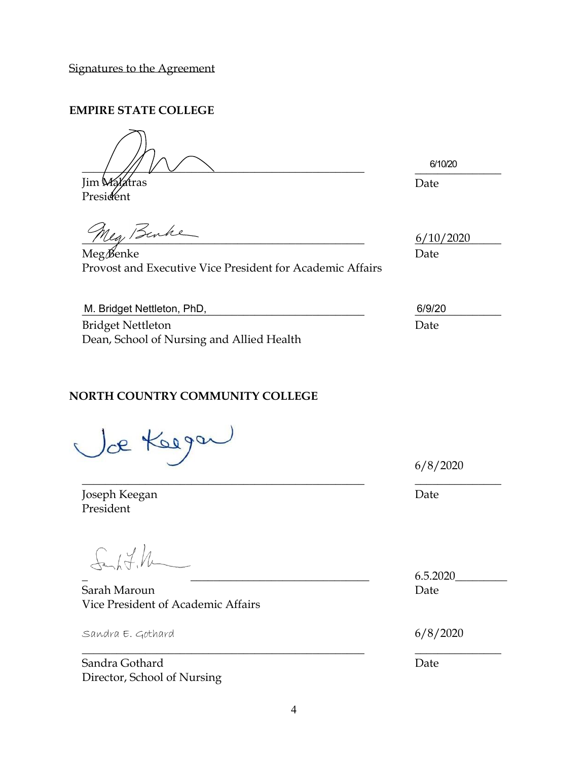Signatures to the Agreement

### **EMPIRE STATE COLLEGE**

 $\frac{1}{2}$  ///  $\sqrt{2}$   $\sqrt{2}$ 

Jim Malatras President

\_\_\_\_\_\_\_\_\_\_\_\_\_\_\_ 6/10/20Date

Meg Benke

Meg Benke Date Provost and Executive Vice President for Academic Affairs

6/10/2020

| M. Bridget Nettleton, PhD,                | 6/9/20 |
|-------------------------------------------|--------|
| <b>Bridget Nettleton</b>                  | Date   |
| Dean, School of Nursing and Allied Health |        |

\_\_\_\_\_\_\_\_\_\_\_\_\_\_\_\_\_\_\_\_\_\_\_\_\_\_\_\_\_\_\_\_\_\_\_\_\_\_\_\_\_\_\_\_\_\_\_\_\_ \_\_\_\_\_\_\_\_\_\_\_\_\_\_\_

## **NORTH COUNTRY COMMUNITY COLLEGE**

Jækeega

Joseph Keegan **Date** President

Sanh 7.1

Sarah Maroun **Date** Vice President of Academic Affairs

 $S$ andra E. Gothard 6/8/2020

Sandra Gothard Date Director, School of Nursing

6/8/2020

 $6.5.2020$ 

\_\_\_\_\_\_\_\_\_\_\_\_\_\_\_\_\_\_\_\_\_\_\_\_\_\_\_\_\_\_\_\_\_\_\_\_\_\_\_\_\_\_\_\_\_\_\_\_\_ \_\_\_\_\_\_\_\_\_\_\_\_\_\_\_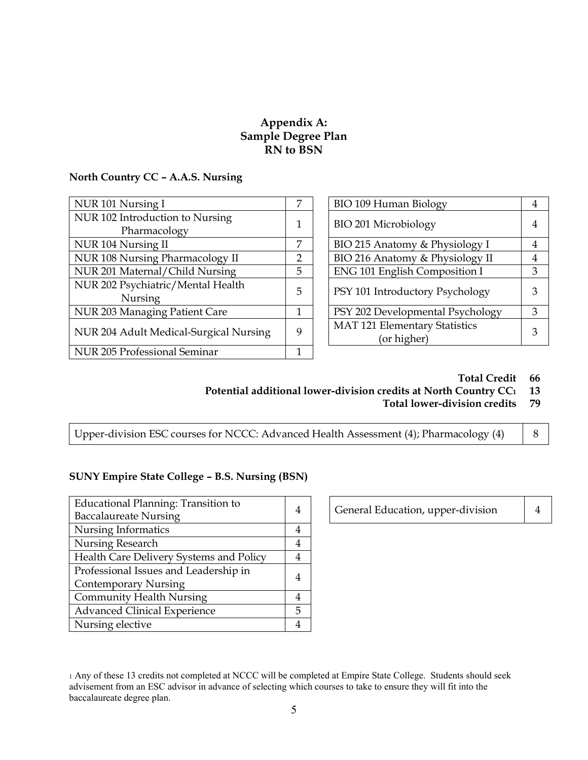#### **Appendix A: Sample Degree Plan RN to BSN**

#### **North Country CC – A.A.S. Nursing**

| 7 | BIO 109 Human Biology            | 4                               |   |
|---|----------------------------------|---------------------------------|---|
|   | BIO 201 Microbiology             | $\overline{4}$                  |   |
| 7 | BIO 215 Anatomy & Physiology I   | 4                               |   |
| 2 | BIO 216 Anatomy & Physiology II  | 4                               |   |
| 5 | ENG 101 English Composition I    | 3                               |   |
| 5 |                                  |                                 | 3 |
|   |                                  |                                 |   |
|   | PSY 202 Developmental Psychology | 3                               |   |
| 9 | MAT 121 Elementary Statistics    | 3                               |   |
|   | (or higher)                      |                                 |   |
|   |                                  |                                 |   |
|   |                                  | PSY 101 Introductory Psychology |   |

| Nursing I                             | 7              | <b>BIO 109 Human Biology</b>     |   |
|---------------------------------------|----------------|----------------------------------|---|
| Introduction to Nursing               |                | BIO 201 Microbiology             | 4 |
| Pharmacology                          |                |                                  |   |
| Nursing II                            | 7              | BIO 215 Anatomy & Physiology I   | 4 |
| <b>Nursing Pharmacology II</b>        | $\overline{2}$ | BIO 216 Anatomy & Physiology II  | 4 |
| Maternal/Child Nursing                | 5              | ENG 101 English Composition I    | 3 |
| Psychiatric/Mental Health             | 5              | PSY 101 Introductory Psychology  | 3 |
| Nursing                               |                |                                  |   |
| <b>Managing Patient Care</b>          |                | PSY 202 Developmental Psychology | 3 |
| <b>Adult Medical-Surgical Nursing</b> | 9              | MAT 121 Elementary Statistics    | 3 |
|                                       |                | (or higher)                      |   |

#### **Total Credit 66**

- **Potential additional lower-division credits at North Country CC1 13**
	- **Total lower-division credits 79**

Upper-division ESC courses for NCCC: Advanced Health Assessment (4); Pharmacology (4)  $\begin{array}{|l|} 8 \end{array}$ 

#### **SUNY Empire State College – B.S. Nursing (BSN)**

| Educational Planning: Transition to<br><b>Baccalaureate Nursing</b>  |   |
|----------------------------------------------------------------------|---|
| Nursing Informatics                                                  | 4 |
| Nursing Research                                                     |   |
| Health Care Delivery Systems and Policy                              |   |
| Professional Issues and Leadership in<br><b>Contemporary Nursing</b> |   |
| <b>Community Health Nursing</b>                                      |   |
| <b>Advanced Clinical Experience</b>                                  | 5 |
| Nursing elective                                                     |   |

General Education, upper-division | 4

<sup>1</sup> Any of these 13 credits not completed at NCCC will be completed at Empire State College. Students should seek advisement from an ESC advisor in advance of selecting which courses to take to ensure they will fit into the baccalaureate degree plan.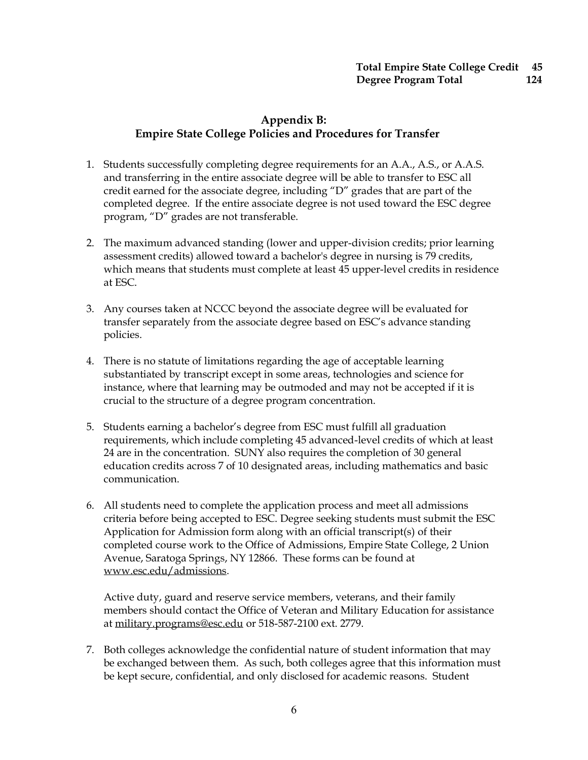### **Appendix B: Empire State College Policies and Procedures for Transfer**

- 1. Students successfully completing degree requirements for an A.A., A.S., or A.A.S. and transferring in the entire associate degree will be able to transfer to ESC all credit earned for the associate degree, including "D" grades that are part of the completed degree. If the entire associate degree is not used toward the ESC degree program, "D" grades are not transferable.
- 2. The maximum advanced standing (lower and upper-division credits; prior learning assessment credits) allowed toward a bachelor's degree in nursing is 79 credits, which means that students must complete at least 45 upper-level credits in residence at ESC.
- 3. Any courses taken at NCCC beyond the associate degree will be evaluated for transfer separately from the associate degree based on ESC's advance standing policies.
- 4. There is no statute of limitations regarding the age of acceptable learning substantiated by transcript except in some areas, technologies and science for instance, where that learning may be outmoded and may not be accepted if it is crucial to the structure of a degree program concentration.
- 5. Students earning a bachelor's degree from ESC must fulfill all graduation requirements, which include completing 45 advanced-level credits of which at least 24 are in the concentration. SUNY also requires the completion of 30 general education credits across 7 of 10 designated areas, including mathematics and basic communication.
- 6. All students need to complete the application process and meet all admissions criteria before being accepted to ESC. Degree seeking students must submit the ESC Application for Admission form along with an official transcript(s) of their completed course work to the Office of Admissions, Empire State College, 2 Union Avenue, Saratoga Springs, NY 12866. These forms can be found at www.esc.edu/admissions.

Active duty, guard and reserve service members, veterans, and their family members should contact the Office of Veteran and Military Education for assistance at military.programs@esc.edu or 518-587-2100 ext. 2779.

7. Both colleges acknowledge the confidential nature of student information that may be exchanged between them. As such, both colleges agree that this information must be kept secure, confidential, and only disclosed for academic reasons. Student